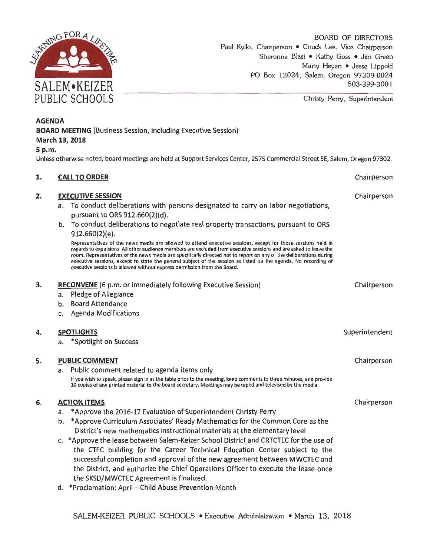

Christy Perry, Superintendent

### **AGENDA**

**BOARD MEETING** (Business Session, including Executive Session) **March 13, 2018** 

### **5 p.m.**

Unless otherwlse noted, board meetlngs are held at Support Services Center, 2575 Commercial Street SE, Salem, Oregon 97302.

#### **1. CALL TO ORDER**

### **2. EXECUTIVE SESSION**

- a. To conduct deliberations with persons designated to carry on labor negotiations, pursuant to ORS 912.660(2)(d).
- b. To conduct deliberations to negotiate real property transactions, pursuant to ORS 912.660(2)(e).

Representatives of the news media are allowed to attend executive sessions, except for those sessions held in regards to expulsions. All other audience members are excluded from executive sessions and are asked to leave the room. Representatives of the news media are specifically directed not to report on any of the deliberations during executive sessions, except to state the general subject of the session as listed on the agenda. No recording of executive sessions is allowed without express permission from the Board.

### **3. RECONVENE** (6 p.m. or immediately following Executive Session)

- a. Pledge of Allegiance
- b. Board Attendance
- c. Agenda Modifications

#### **4. SPOTLIGHTS**

a. \*Spotlight on Success

#### **s. PUBLIC COMMENT**

a. Public comment related to agenda items only If you wish to speak, please sign in at the table prior to the meeting, keep comments to three minutes, and provide 10 copies of any printed material to the board secretary. Meetings may be taped and televised by the media.

### **6. ACTION ITEMS**

- a. \*Approve the 2016-17 Evaluation of Superintendent Christy Perry
- b. \*Approve Curriculum Associates' Ready Mathematics for the Common Core as the District's new mathematics instructional materials at the elementary level
- c. \*Approve the lease between Salem-Keizer School District and CRTCTEC for the use of the CTEC building for the Career Technical Education Center subject to the successful completion and approval of the new agreement between MWCTEC and the District, and authorize the Chief Operations Officer to execute the lease once the SKSD/MWCTEC Agreement is finalized.
- d. \*Proclamation: April Child Abuse Prevention Month

Chairperson Chairperson

Superintendent

Chairperson

Chairperson

Chairperson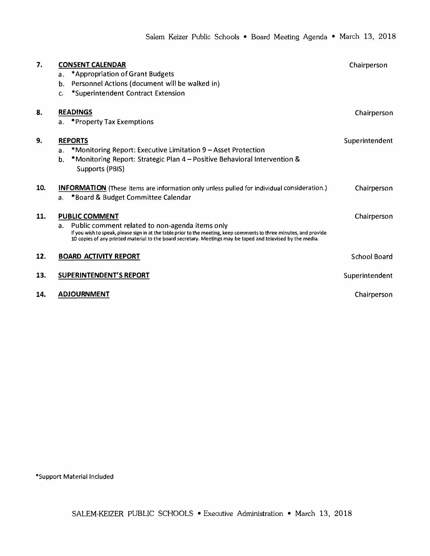| 7.  | <b>CONSENT CALENDAR</b>                                                                                                                                                                                                                                                                     | Chairperson         |
|-----|---------------------------------------------------------------------------------------------------------------------------------------------------------------------------------------------------------------------------------------------------------------------------------------------|---------------------|
|     | *Appropriation of Grant Budgets<br>a.                                                                                                                                                                                                                                                       |                     |
|     | Personnel Actions (document will be walked in)<br>b.                                                                                                                                                                                                                                        |                     |
|     | *Superintendent Contract Extension<br>C.                                                                                                                                                                                                                                                    |                     |
| 8.  | <b>READINGS</b>                                                                                                                                                                                                                                                                             | Chairperson         |
|     | *Property Tax Exemptions<br>a.                                                                                                                                                                                                                                                              |                     |
| 9.  | <b>REPORTS</b>                                                                                                                                                                                                                                                                              | Superintendent      |
|     | *Monitoring Report: Executive Limitation 9 – Asset Protection<br>a.                                                                                                                                                                                                                         |                     |
|     | *Monitoring Report: Strategic Plan 4 – Positive Behavioral Intervention &<br>b.<br>Supports (PBIS)                                                                                                                                                                                          |                     |
| 10. | <b>INFORMATION</b> (These items are information only unless pulled for individual consideration.)                                                                                                                                                                                           | Chairperson         |
|     | *Board & Budget Committee Calendar<br>a <sub>z</sub>                                                                                                                                                                                                                                        |                     |
| 11. | <b>PUBLIC COMMENT</b>                                                                                                                                                                                                                                                                       | Chairperson         |
|     | Public comment related to non-agenda items only<br>a.<br>If you wish to speak, please sign in at the table prior to the meeting, keep comments to three minutes, and provide<br>10 copies of any printed material to the board secretary. Meetings may be taped and televised by the media. |                     |
| 12. | <b>BOARD ACTIVITY REPORT</b>                                                                                                                                                                                                                                                                | <b>School Board</b> |
| 13. | <b>SUPERINTENDENT'S REPORT</b>                                                                                                                                                                                                                                                              | Superintendent      |
| 14. | <b>ADJOURNMENT</b>                                                                                                                                                                                                                                                                          | Chairperson         |

\*Support Material Included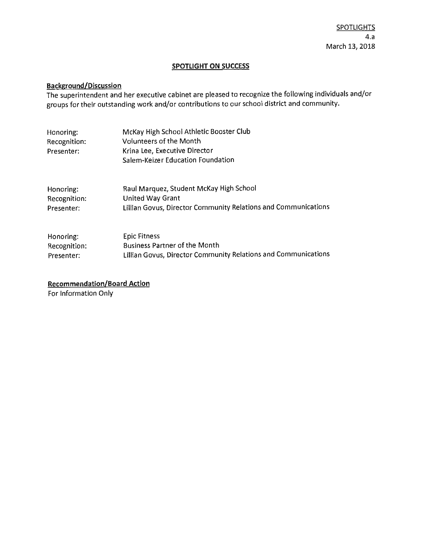### **SPOTLIGHT ON SUCCESS**

### **Background/Discussion**

The superintendent and her executive cabinet are pleased to recognize the following individuals and/or groups for their outstanding work and/or contributions to our school district and community.

| Honoring:<br>Recognition:<br>Presenter: | McKay High School Athletic Booster Club<br><b>Volunteers of the Month</b><br>Krina Lee, Executive Director<br>Salem-Keizer Education Foundation |
|-----------------------------------------|-------------------------------------------------------------------------------------------------------------------------------------------------|
| Honoring:                               | Raul Marquez, Student McKay High School                                                                                                         |
| Recognition:                            | <b>United Way Grant</b>                                                                                                                         |
| Presenter:                              | Lillian Govus, Director Community Relations and Communications                                                                                  |
| Honoring:                               | <b>Epic Fitness</b>                                                                                                                             |
| Recognition:                            | <b>Business Partner of the Month</b>                                                                                                            |
| Presenter:                              | Lillian Govus, Director Community Relations and Communications                                                                                  |

**Recommendation/Board Action** 

For Information Only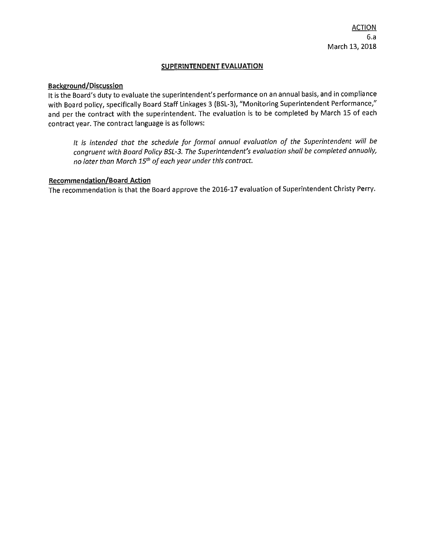### **SUPERINTENDENT EVALUATION**

### **Background/Discussion**

It is the Board's duty to evaluate the superintendent's performance on an annual basis, and in compliance with Board policy, specifically Board Staff Linkages 3 (BSL-3), "Monitoring Superintendent Performance," and per the contract with the superintendent. The evaluation is to be completed by March 15 of each contract year. The contract language is as follows:

*It is intended that the schedule for formal annual evaluation of the Superintendent will be congruent with Board Policy BSL-3. The Superintendent's evaluation shall be completed annually, no later than March 15*th *of each year under this contract.* 

### **Recommendation/Board Action**

The recommendation is that the Board approve the 2016-17 evaluation of Superintendent Christy Perry.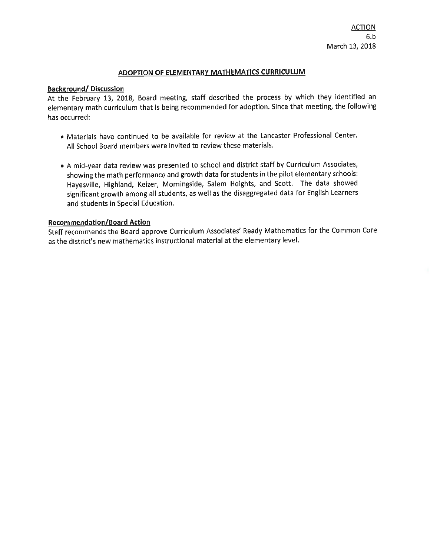### **ADOPTION OF ELEMENTARY MATHEMATICS CURRICULUM**

### **Background/ Discussion**

At the February 13, 2018, Board meeting, staff described the process by which they identified an elementary math curriculum that is being recommended for adoption. Since that meeting, the following has occurred:

- Materials have continued to be available for review at the Lancaster Professional Center. All School Board members were invited to review these materials.
- A mid-year data review was presented to school and district staff by Curriculum Associates, showing the math performance and growth data for students in the pilot elementary schools: Hayesville, Highland, Keizer, Morningside, Salem Heights, and Scott. The data showed significant growth among all students, as well as the disaggregated data for English Learners and students in Special Education.

### **Recommendation/Board Action**

Staff recommends the Board approve Curriculum Associates' Ready Mathematics for the Common Core as the district's new mathematics instructional material at the elementary level.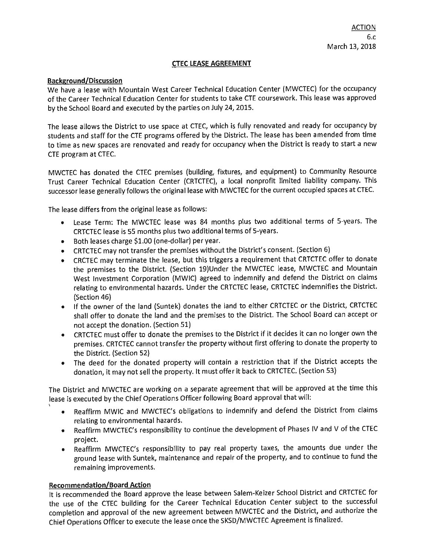### **CTEC LEASE AGREEMENT**

### **Background/Discussion**

We have a lease with Mountain West Career Technical Education Center (MWCTEC) for the occupancy of the Career Technical Education Center for students to take CTE coursework. This lease was approved by the School Board and executed by the parties on July 24, 2015.

The lease allows the District to use space at CTEC, which is fully renovated and ready for occupancy by students and staff for the CTE programs offered by the District. The lease has been amended from time to time as new spaces are renovated and ready for occupancy when the District is ready to start a new CTE program at CTEC.

MWCTEC has donated the CTEC premises (building, fixtures, and equipment) to Community Resource Trust Career Technical Education Center {CRTCTEC), a local nonprofit limited liability company. This successor lease generally follows the original lease with MWCTEC for the current occupied spaces at CTEC.

The lease differs from the original lease as follows:

- Lease Term: The MWCTEC lease was 84 months plus two additional terms of 5-years. The CRTCTEC lease is 55 months plus two additional terms of 5-years.
- Both leases charge \$1.00 (one-dollar) per year.
- CRTCTEC may not transfer the premises without the District's consent. (Section 6)
- CRCTEC may terminate the lease, but this triggers a requirement that CRTCTEC offer to donate the premises to the District. (Section 19)Under the MWCTEC lease, MWCTEC and Mountain West Investment Corporation (MWIC) agreed to indemnify and defend the District on claims relating to environmental hazards. Under the CRTCTEC lease, CRTCTEC indemnifies the District. (Section 46)
- If the owner of the land (Suntek} donates the land to either CRTCTEC or the District, CRTCTEC shall offer to donate the land and the premises to the District. The School Board can accept or not accept the donation. (Section 51)
- CRTCTEC must offer to donate the premises to the District if it decides it can no longer own the premises. CRTCTEC cannot transfer the property without first offering to donate the property to the District. (Section 52)
- The deed for the donated property will contain a restriction that if the District accepts the donation, it may not sell the property. It must offer it back to CRTCTEC. (Section 53)

The District and MWCTEC are working on a separate agreement that will be approved at the time this lease is executed by the Chief Operations Officer following Board approval that will:

- Reaffirm MWIC and MWCTEC's obligations to indemnify and defend the District from claims relating to environmental hazards.
- Reaffirm MWCTEC's responsibility to continue the development of Phases IV and V of the CTEC project.
- Reaffirm MWCTEC's responsibility to pay real property taxes, the amounts due under the ground lease with Suntek, maintenance and repair of the property, and to continue to fund the remaining improvements.

### **Recommendation/Board Action**

I

It is recommended the Board approve the lease between Salem-Keizer School District and CRTCTEC for the use of the CTEC building for the Career Technical Education Center subject to the successful completion and approval of the new agreement between MWCTEC and the District, and authorize the Chief Operations Officer to execute the lease once the SKSD/MWCTEC Agreement is fina lized.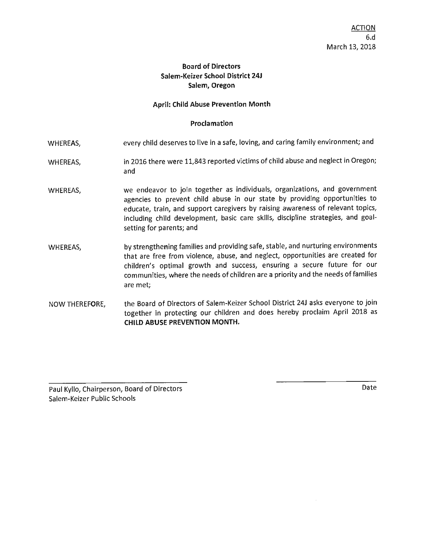### **Board of Directors Salem-Keizer School District 24J Salem, Oregon**

### **April:** Child **Abuse Prevention Month**

### **Proclamation**

- WHEREAS, every child deserves to live in a safe, loving, and caring family environment; and
- WHEREAS, in 2016 there were 11,843 reported victims of child abuse and neglect in Oregon; and
- WHEREAS, we endeavor to join together as individuals, organizations, and government agencies to prevent child abuse in our state by providing opportunities to educate, train, and support caregivers by raising awareness of relevant topics, including child development, basic care skills, discipline strategies, and goalsetting for parents; and
- WHEREAS, by strengthening families and providing safe, stable, and nurturing environments that are free from violence, abuse, and neglect, opportunities are created for children's optimal growth and success, ensuring a secure future for our communities, where the needs of children are a priority and the needs of families are met;
- NOW THEREFORE, the Board of Directors of Salem-Keizer School District 24J asks everyone to join together in protecting our children and does hereby proclaim April 2018 as **CHILD ABUSE PREVENTION MONTH.**

Paul Kyllo, Chairperson, Board of Directors Salem-Keizer Public Schools

Date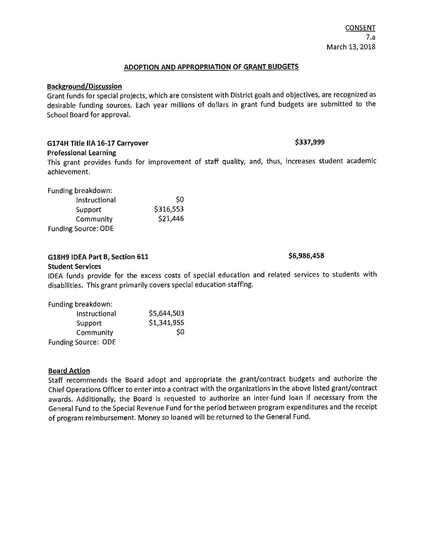### **ADOPTION AND APPROPRIATION OF GRANT BUDGETS**

### **Background/Discussion**

Grant funds for special projects, which are consistent with District goals and objectives, are recognized as desirable funding sources. Each year millions of dollars in grant fund budgets are submitted to the School Board for approval.

## **G174H Title IIA 16-17 Carryover \$337,999**

### **Professional Learning**

This grant provides funds for improvement of staff quality, and, thus, increases student academic achievement.

Funding breakdown:

| Instructional              | S0        |
|----------------------------|-----------|
| Support                    | \$316,553 |
| Community                  | \$21,446  |
| <b>Funding Source: ODE</b> |           |

### **G18H9 IDEA Part B, Section 611 618 <b>S** 6,986,458

### **Student Services**

IDEA funds provide for the excess costs of special education and related services to students with disabilities. This grant primarily covers special education staffing.

| Funding breakdown:         |             |
|----------------------------|-------------|
| Instructional              | \$5,644,503 |
| Support                    | \$1,341,955 |
| Community                  | \$0         |
| <b>Funding Source: ODE</b> |             |

## **Board Action**

Staff recommends the Board adopt and appropriate the grant/contract budgets and authorize the Chief Operations Officer to enter into a contract with the organizations in the above listed grant/contract awards. Additionally, the Board is requested to authorize an inter-fund loan if necessary from the General Fund to the Special Revenue Fund for the period between program expenditures and the receipt of program reimbursement. Money so loaned will be returned to the General Fund.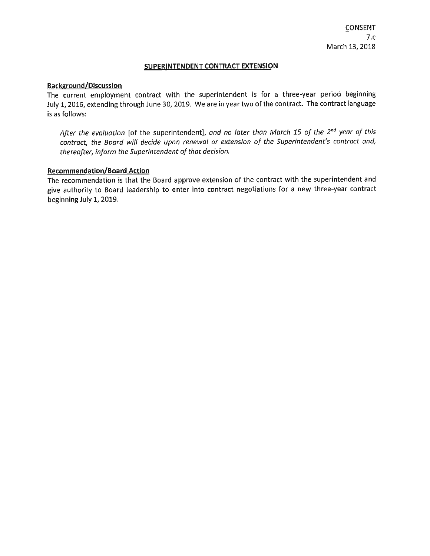### **SUPERINTENDENT CONTRACT EXTENSION**

### **Background/Discussion**

The current employment contract with the superintendent is for a three-year period beginning July 1, 2016, extending through June 30, 2019. We are in year two of the contract. The contract language is as follows:

*After the evaluation* [of the superintendent], *and no later than March 15 of the 2nd year of this contract, the Board will decide upon renewal or extension of the Superintendent's contract and, thereafter, inform the Superintendent of that decision.* 

### **Recommendation/Board Action**

The recommendation is that the Board approve extension of the contract with the superintendent and give authority to Board leadership to enter into contract negotiations for a new three-year contract beginning July 1, 2019.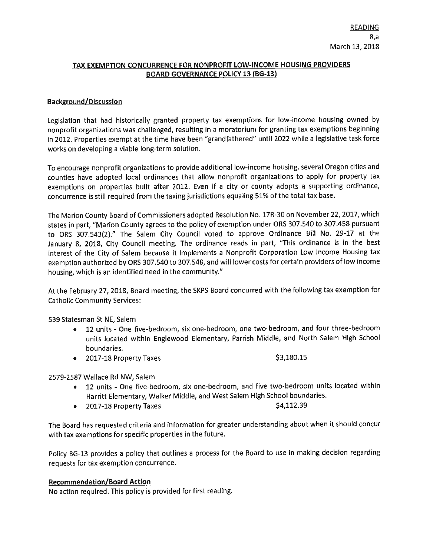### **TAX EXEMPTION CONCURRENCE FOR NONPROFIT LOW-INCOME HOUSING PROVIDERS BOARD GOVERNANCE POLICY 13 (BG-13)**

### **Background/Discussion**

Legislation that had historically granted property tax exemptions for low-income housing owned by nonprofit organizations was challenged, resulting in a moratorium for granting tax exemptions beginning in 2012. Properties exempt at the time have been "grandfathered" until 2022 while a legislative task force works on developing a viable long-term solution.

To encourage nonprofit organizations to provide additional low-income housing, several Oregon cities and counties have adopted local ordinances that allow nonprofit organizations to apply for property tax exemptions on properties built after 2012. Even if a city or county adopts a supporting ordinance, concurrence is still required from the taxing jurisdictions equaling 51% of the total tax base.

The Marion County Board of Commissioners adopted Resolution No. 17R-30 on November 22, 2017, which states in part, "Marion County agrees to the policy of exemption under ORS 307.540 to 307.458 pursuant to ORS 307.543{2)." The Salem City Council voted to approve Ordinance Bill No. 29-17 at the January 8, 2018, City Council meeting. The ordinance reads in part, "This ordinance is in the best interest of the City of Salem because it implements a Nonprofit Corporation Low Income Housing tax exemption authorized by ORS 307 .540 to 307.548, and will lower costs for certain providers of low income housing, which is an identified need in the community."

At the February 27, 2018, Board meeting, the SKPS Board concurred with the following tax exemption for Catholic Community Services:

539 Statesman St NE, Salem

- 12 units One five-bedroom, six one-bedroom, one two-bedroom, and four three-bedroom units located within Englewood Elementary, Parrish Middle, and North Salem High School boundaries.
- 2017-18 Property Taxes  $\lesssim$   $\frac{180.15}{53.180.15}$

2579-2587 Wallace Rd NW, Salem

- 12 units One five-bedroom, six one-bedroom, and five two-bedroom units located within Harritt Elementary, Walker Middle, and West Salem High School boundaries.
- $2017-18$  Property Taxes  $$4,112.39$

The Board has requested criteria and information for greater understanding about when it should concur with tax exemptions for specific properties in the future.

Policy BG-13 provides a policy that outlines a process for the Board to use in making decision regarding requests for tax exemption concurrence.

### **Recommendation/Board Action**

No action required. This policy is provided for first reading,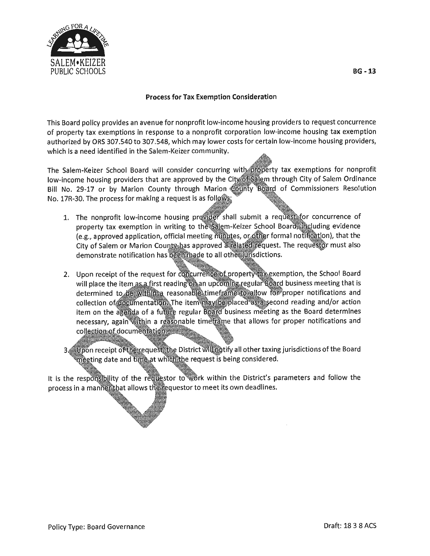

### **Process for Tax Exemption Consideration**

This Board policy provides an avenue for nonprofit low-income housing providers to request concurrence of property tax exemptions in response to a nonprofit corporation low-income housing tax exemption authorized by ORS 307.540 to 307.548, which may lower costs for certain low-income housing providers, which is a need identified in the Salem-Keizer community.

The Salem-Keizer School Board will consider concurring with opporty tax exemptions for nonprofit low-income housing providers that are approved by the City, the mongh City of Salem Ordinance Bill No. 29-17 or by Marion County through Marion (@iijñty Board of Commissioners Resolution No. 17R-30. The process for making a request is as follows:

- 1. The nonprofit low-income housing provider shall submit a request for concurrence of property tax exemption in writing to the salem-Keizer School Board including evidence (e.g., approved application, official meeting millutes, or other formal notification), that the City of Salem or Marion County has approved avelated request. The requestor must also demonstrate notification has been made to all other urisdictions.
- 2. Upon receipt of the request for concurrence of property take exemption, the School Board will place the item as a first reading one an upcoming regular Board business meeting that is determined to be within a reasonable timeframe to allow for proper notifications and collection of documentation. The item may be placed as assecond reading and/or action item on the agenida of a future regular Board business meeting as the Board determines necessary, again within a reasonable timetrame that allows for proper notifications and collection of documentation
- 3 Suppon receipt of the request the District Willing tify all other taxing jurisdictions of the Board meeting date and time at which the request is being considered.

It is the responsibility of the requestor to work within the District's parameters and follow the process in a mannefithat allows the requestor to meet its own deadlines.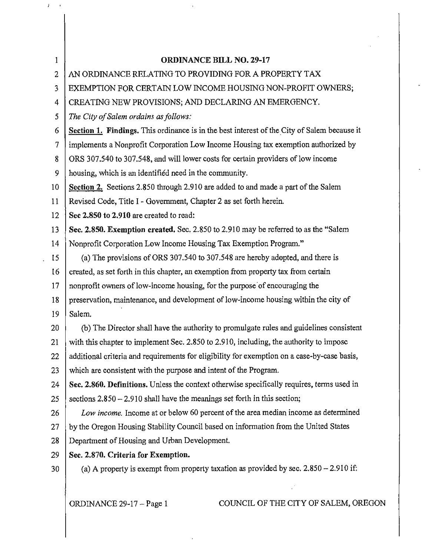| $\mathbf{1}$ | <b>ORDINANCE BILL NO. 29-17</b>                                                             |
|--------------|---------------------------------------------------------------------------------------------|
| 2            | AN ORDINANCE RELATING TO PROVIDING FOR A PROPERTY TAX                                       |
| 3            | EXEMPTION FOR CERTAIN LOW INCOME HOUSING NON-PROFIT OWNERS;                                 |
| 4            | CREATING NEW PROVISIONS; AND DECLARING AN EMERGENCY.                                        |
| 5            | The City of Salem ordains as follows:                                                       |
| 6            | Section 1. Findings. This ordinance is in the best interest of the City of Salem because it |
| 7            | implements a Nonprofit Corporation Low Income Housing tax exemption authorized by           |
| 8            | ORS 307.540 to 307.548, and will lower costs for certain providers of low income            |
| 9            | housing, which is an identified need in the community.                                      |
| 10           | Section 2. Sections 2.850 through 2.910 are added to and made a part of the Salem           |
| 11           | Revised Code, Title I - Government, Chapter 2 as set forth herein.                          |
| 12           | Sec 2.850 to 2.910 are created to read:                                                     |
| 13           | Sec. 2.850. Exemption created. Sec. 2.850 to 2.910 may be referred to as the "Salem"        |
| 14           | Nonprofit Corporation Low Income Housing Tax Exemption Program."                            |
| 15           | (a) The provisions of ORS 307.540 to 307.548 are hereby adopted, and there is               |
| 16           | created, as set forth in this chapter, an exemption from property tax from certain          |
| 17           | nonprofit owners of low-income housing, for the purpose of encouraging the                  |
| 18           | preservation, maintenance, and development of low-income housing within the city of         |
| 19           | Salem.                                                                                      |
| 20           | (b) The Director shall have the authority to promulgate rules and guidelines consistent     |
| 21           | with this chapter to implement Sec. 2.850 to 2.910, including, the authority to impose      |
| 22           | additional criteria and requirements for eligibility for exemption on a case-by-case basis, |
| 23           | which are consistent with the purpose and intent of the Program.                            |
| 24           | Sec. 2.860. Definitions. Unless the context otherwise specifically requires, terms used in  |
| 25           | sections $2.850 - 2.910$ shall have the meanings set forth in this section;                 |
| 26           | Low income. Income at or below 60 percent of the area median income as determined           |
| 27           | by the Oregon Housing Stability Council based on information from the United States         |
| 28           | Department of Housing and Urban Development.                                                |
| 29           | Sec. 2.870. Criteria for Exemption.                                                         |
| 30           | (a) A property is exempt from property taxation as provided by sec. $2.850 - 2.910$ if:     |
|              | COUNCIL OF THE CITY OF SALEM, OREGON<br>ORDINANCE 29-17 - Page 1                            |

 $\bar{\tau}$ 

 $T_{\rm c} = 0$  .

 $\sim$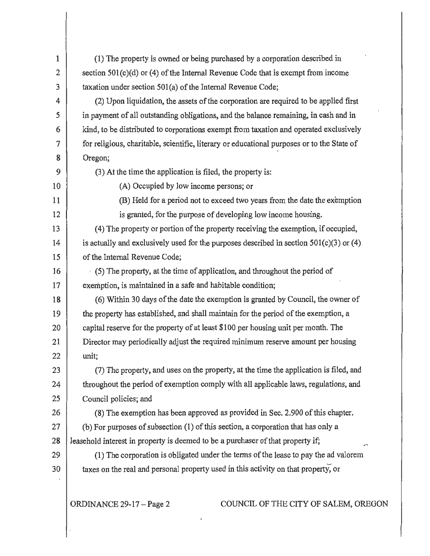| $\mathbf{1}$   | (1) The property is owned or being purchased by a corporation described in                 |  |  |  |
|----------------|--------------------------------------------------------------------------------------------|--|--|--|
| $\overline{2}$ | section $501(c)(d)$ or (4) of the Internal Revenue Code that is exempt from income         |  |  |  |
| 3              | taxation under section 501(a) of the Internal Revenue Code;                                |  |  |  |
| 4              | (2) Upon liquidation, the assets of the corporation are required to be applied first       |  |  |  |
| 5              | in payment of all outstanding obligations, and the balance remaining, in cash and in       |  |  |  |
| 6              | kind, to be distributed to corporations exempt from taxation and operated exclusively      |  |  |  |
| 7              | for religious, charitable, scientific, literary or educational purposes or to the State of |  |  |  |
| 8              | Oregon;                                                                                    |  |  |  |
| 9              | (3) At the time the application is filed, the property is:                                 |  |  |  |
| 10             | (A) Occupied by low income persons; or                                                     |  |  |  |
| 11             | (B) Held for a period not to exceed two years from the date the exemption                  |  |  |  |
| 12             | is granted, for the purpose of developing low income housing.                              |  |  |  |
| 13             | (4) The property or portion of the property receiving the exemption, if occupied,          |  |  |  |
| 14             | is actually and exclusively used for the purposes described in section $501(c)(3)$ or (4)  |  |  |  |
| 15             | of the Internal Revenue Code;                                                              |  |  |  |
| 16             | (5) The property, at the time of application, and throughout the period of                 |  |  |  |
| 17             | exemption, is maintained in a safe and habitable condition;                                |  |  |  |
| 18             | (6) Within 30 days of the date the exemption is granted by Council, the owner of           |  |  |  |
| 19             | the property has established, and shall maintain for the period of the exemption, a        |  |  |  |
| 20             | capital reserve for the property of at least \$100 per housing unit per month. The         |  |  |  |
| 21             | Director may periodically adjust the required minimum reserve amount per housing           |  |  |  |
| 22             | unit;                                                                                      |  |  |  |
| 23             | (7) The property, and uses on the property, at the time the application is filed, and      |  |  |  |
| 24             | throughout the period of exemption comply with all applicable laws, regulations, and       |  |  |  |
| 25             | Council policies; and                                                                      |  |  |  |
| 26             | (8) The exemption has been approved as provided in Sec. 2.900 of this chapter.             |  |  |  |
| 27             | (b) For purposes of subsection (1) of this section, a corporation that has only a          |  |  |  |
| 28             | leasehold interest in property is deemed to be a purchaser of that property if;            |  |  |  |
| 29             | (1) The corporation is obligated under the terms of the lease to pay the ad valorem        |  |  |  |
| 30             | taxes on the real and personal property used in this activity on that property, or         |  |  |  |
|                | COUNCIL OF THE CITY OF SALEM, OREGON<br>ORDINANCE 29-17 - Page 2                           |  |  |  |
|                |                                                                                            |  |  |  |

 $\mathbf{J}$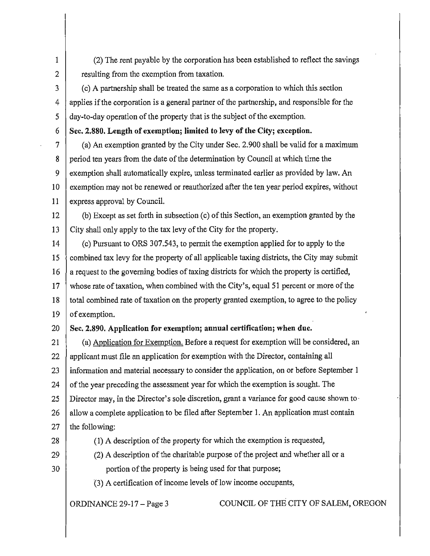1 (2) The rent payable by the corporation has been established to reflect the savings 2 estimate 2 resulting from the exemption from taxation.

3 (c) A partnership shall be treated the same as a corporation to which this section  $4 \mid$  applies if the corporation is a general partner of the partnership, and responsible for the  $5 \mid$  day-to-day operation of the property that is the subject of the exemption.

6 **Sec. 2.880. Length of exemption; limited to levy of the City; exception.** 

7 (a) An exemption granted by the City under Sec. 2.900 shall be valid for a maximum 8 period ten years from the date of the determination by Council at which time the 9 exemption shall automatically expire, unless terminated earlier as provided by law. An 10 exemption may not be renewed or reauthorized after the ten year period expires, without 11 express approval by Council.

12 (b) Except as set forth in subsection (c) of this Section, an exemption granted by the 13 City shall only apply to the tax levy of the City for the property.

14 (c) Pursuant to ORS 307.543, to permit the exemption applied for to apply to the  $15 \}$  combined tax levy for the property of all applicable taxing districts, the City may submit  $16$  a request to the governing bodies of taxing districts for which the property is certified, 17 whose rate of taxation, when combined with the City's, equal 51 percent or more of the 18 total combined rate of taxation on the property granted exemption, to agree to the policy  $19$  of exemption.

20 **Sec. 2.890. Application for exemption; annual certification; when due.** 

21 (a) Application for Exemption. Before a request for exemption will be considered, an 22 | applicant must file an application for exemption with the Director, containing all  $23$  information and material necessary to consider the application, on or before September 1 24  $\vert$  of the year preceding the assessment year for which the exemption is sought. The 25 Director may, in the Director's sole discretion, grant a variance for good cause shown to·  $26$  allow a complete application to be filed after September 1. An application must contain  $27$  the following:

- 
- 29 (2) A description of the charitable purpose of the project and whether all or a

28 (1) A description of the property for which the exemption is requested,

30 **portion of the property is being used for that purpose;** 

(3) A certification of income levels of low income occupants,

ORDINANCE 29-17 -Page 3 COUNCIL OF THE CITY OF SALEM, OREGON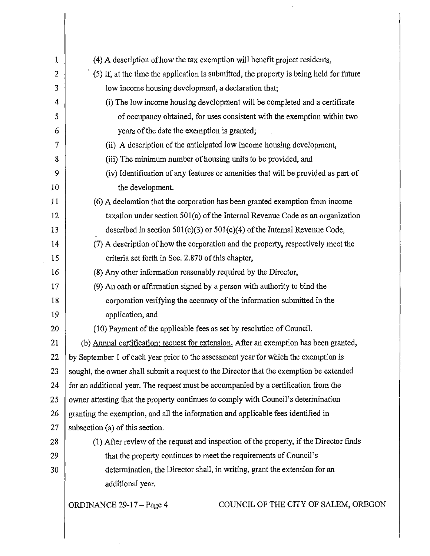| 1              | (4) A description of how the tax exemption will benefit project residents,              |  |  |  |
|----------------|-----------------------------------------------------------------------------------------|--|--|--|
| $\overline{2}$ | (5) If, at the time the application is submitted, the property is being held for future |  |  |  |
| 3              | low income housing development, a declaration that;                                     |  |  |  |
| 4              | (i) The low income housing development will be completed and a certificate              |  |  |  |
| 5              | of occupancy obtained, for uses consistent with the exemption within two                |  |  |  |
| 6              | years of the date the exemption is granted;                                             |  |  |  |
| 7              | (ii) A description of the anticipated low income housing development,                   |  |  |  |
| 8              | (iii) The minimum number of housing units to be provided, and                           |  |  |  |
| 9              | (iv) Identification of any features or amenities that will be provided as part of       |  |  |  |
| 10             | the development.                                                                        |  |  |  |
| 11             | (6) A declaration that the corporation has been granted exemption from income           |  |  |  |
| 12             | taxation under section 501(a) of the Internal Revenue Code as an organization           |  |  |  |
| 13             | described in section $501(c)(3)$ or $501(c)(4)$ of the Internal Revenue Code,           |  |  |  |
| 14             | (7) A description of how the corporation and the property, respectively meet the        |  |  |  |
| 15             | criteria set forth in Sec. 2.870 of this chapter,                                       |  |  |  |
| 16             | (8) Any other information reasonably required by the Director,                          |  |  |  |
| 17             | (9) An oath or affirmation signed by a person with authority to bind the                |  |  |  |
| 18             | corporation verifying the accuracy of the information submitted in the                  |  |  |  |
| 19             | application, and                                                                        |  |  |  |
| 20             | (10) Payment of the applicable fees as set by resolution of Council.                    |  |  |  |
| 21             | (b) Annual certification; request for extension. After an exemption has been granted,   |  |  |  |
| 22             | by September 1 of each year prior to the assessment year for which the exemption is     |  |  |  |
| 23             | sought, the owner shall submit a request to the Director that the exemption be extended |  |  |  |
| 24             | for an additional year. The request must be accompanied by a certification from the     |  |  |  |
| 25             | owner attesting that the property continues to comply with Council's determination      |  |  |  |
| 26             | granting the exemption, and all the information and applicable fees identified in       |  |  |  |
| 27             | subsection (a) of this section.                                                         |  |  |  |
| 28             | (1) After review of the request and inspection of the property, if the Director finds   |  |  |  |
| 29             | that the property continues to meet the requirements of Council's                       |  |  |  |
| 30             | determination, the Director shall, in writing, grant the extension for an               |  |  |  |
|                | additional year.                                                                        |  |  |  |
|                | COUNCIL OF THE CITY OF SALEM, OREGON<br>ORDINANCE 29-17 - Page 4                        |  |  |  |

 $\bar{\mathcal{A}}$ 

 $\hat{\mathbf{r}}$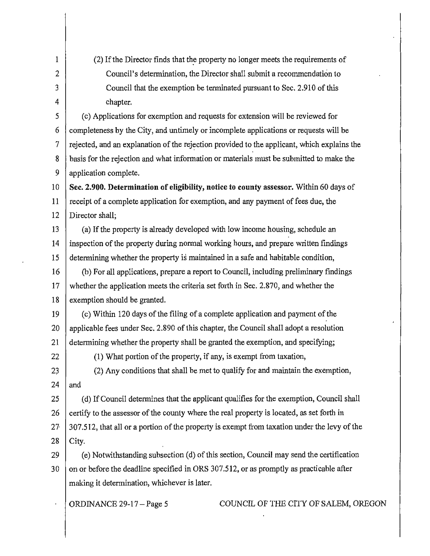| $\mathbf{1}$   | (2) If the Director finds that the property no longer meets the requirements of              |  |  |
|----------------|----------------------------------------------------------------------------------------------|--|--|
| $\overline{2}$ | Council's determination, the Director shall submit a recommendation to                       |  |  |
| 3              | Council that the exemption be terminated pursuant to Sec. 2.910 of this                      |  |  |
| 4              | chapter.                                                                                     |  |  |
| 5              | (c) Applications for exemption and requests for extension will be reviewed for               |  |  |
| 6              | completeness by the City, and untimely or incomplete applications or requests will be        |  |  |
| $\tau$         | rejected, and an explanation of the rejection provided to the applicant, which explains the  |  |  |
| 8              | basis for the rejection and what information or materials must be submitted to make the      |  |  |
| 9              | application complete.                                                                        |  |  |
| 10             | Sec. 2.900. Determination of eligibility, notice to county assessor. Within 60 days of       |  |  |
| 11             | receipt of a complete application for exemption, and any payment of fees due, the            |  |  |
| 12             | Director shall;                                                                              |  |  |
| 13             | (a) If the property is already developed with low income housing, schedule an                |  |  |
| 14             | inspection of the property during normal working hours, and prepare written findings         |  |  |
| 15             | determining whether the property is maintained in a safe and habitable condition,            |  |  |
| 16             | (b) For all applications, prepare a report to Council, including preliminary findings        |  |  |
| 17             | whether the application meets the criteria set forth in Sec. 2.870, and whether the          |  |  |
| 18             | exemption should be granted.                                                                 |  |  |
| 19             | (c) Within 120 days of the filing of a complete application and payment of the               |  |  |
| 20             | applicable fees under Sec. 2.890 of this chapter, the Council shall adopt a resolution       |  |  |
| 21             | determining whether the property shall be granted the exemption, and specifying;             |  |  |
| 22             | (1) What portion of the property, if any, is exempt from taxation,                           |  |  |
| 23             | (2) Any conditions that shall be met to qualify for and maintain the exemption,              |  |  |
| 24             | and                                                                                          |  |  |
| 25             | (d) If Council determines that the applicant qualifies for the exemption, Council shall      |  |  |
| 26             | certify to the assessor of the county where the real property is located, as set forth in    |  |  |
| $27 \cdot$     | 307.512, that all or a portion of the property is exempt from taxation under the levy of the |  |  |
| 28             | City.                                                                                        |  |  |
| 29             | (e) Notwithstanding subsection (d) of this section, Council may send the certification       |  |  |
| 30             | on or before the deadline specified in ORS 307.512, or as promptly as practicable after      |  |  |
|                | making it determination, whichever is later.                                                 |  |  |
|                | COUNCIL OF THE CITY OF SALEM, OREGON<br>ORDINANCE 29-17 - Page 5                             |  |  |

 $\overline{1}$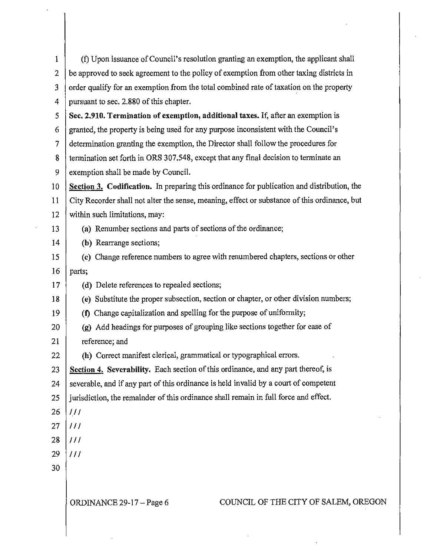| 1  | (f) Upon issuance of Council's resolution granting an exemption, the applicant shall         |  |  |  |  |
|----|----------------------------------------------------------------------------------------------|--|--|--|--|
| 2  | be approved to seek agreement to the policy of exemption from other taxing districts in      |  |  |  |  |
| 3  | order qualify for an exemption from the total combined rate of taxation on the property      |  |  |  |  |
| 4  | pursuant to sec. 2.880 of this chapter.                                                      |  |  |  |  |
| 5  | Sec. 2.910. Termination of exemption, additional taxes. If, after an exemption is            |  |  |  |  |
| 6  | granted, the property is being used for any purpose inconsistent with the Council's          |  |  |  |  |
| 7  | determination granting the exemption, the Director shall follow the procedures for           |  |  |  |  |
| 8  | termination set forth in ORS 307.548, except that any final decision to terminate an         |  |  |  |  |
| 9  | exemption shall be made by Council.                                                          |  |  |  |  |
| 10 | Section 3. Codification. In preparing this ordinance for publication and distribution, the   |  |  |  |  |
| 11 | City Recorder shall not alter the sense, meaning, effect or substance of this ordinance, but |  |  |  |  |
| 12 | within such limitations, may:                                                                |  |  |  |  |
| 13 | (a) Renumber sections and parts of sections of the ordinance;                                |  |  |  |  |
| 14 | (b) Rearrange sections;                                                                      |  |  |  |  |
| 15 | (c) Change reference numbers to agree with renumbered chapters, sections or other            |  |  |  |  |
| 16 | parts;                                                                                       |  |  |  |  |
| 17 | (d) Delete references to repealed sections;                                                  |  |  |  |  |
| 18 | (e) Substitute the proper subsection, section or chapter, or other division numbers;         |  |  |  |  |
| 19 | (f) Change capitalization and spelling for the purpose of uniformity;                        |  |  |  |  |
| 20 | (g) Add headings for purposes of grouping like sections together for ease of                 |  |  |  |  |
| 21 | reference; and                                                                               |  |  |  |  |
| 22 | (h) Correct manifest clerical, grammatical or typographical errors.                          |  |  |  |  |
| 23 | Section 4. Severability. Each section of this ordinance, and any part thereof, is            |  |  |  |  |
| 24 | severable, and if any part of this ordinance is held invalid by a court of competent         |  |  |  |  |
| 25 | jurisdiction, the remainder of this ordinance shall remain in full force and effect.         |  |  |  |  |
| 26 | 111                                                                                          |  |  |  |  |
| 27 | 111                                                                                          |  |  |  |  |
| 28 | 111                                                                                          |  |  |  |  |
| 29 | 111                                                                                          |  |  |  |  |
| 30 |                                                                                              |  |  |  |  |
|    |                                                                                              |  |  |  |  |
|    | COUNCIL OF THE CITY OF SALEM, OREGON<br>ORDINANCE 29-17 - Page 6                             |  |  |  |  |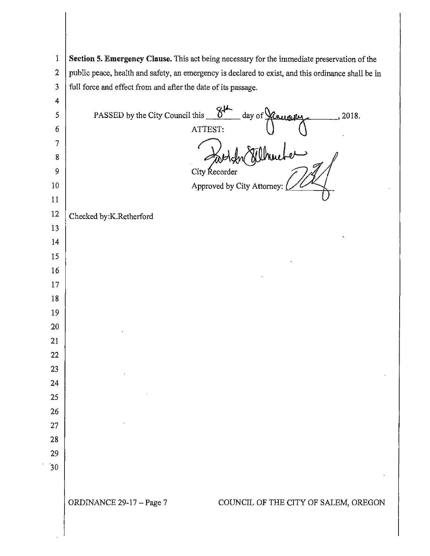**Section 5. Emergency Clause.** This act being necessary for the immediate preservation of the 2 public peace, health and safety, an emergency is declared to exist, and this ordinance shall be in 3 full force and effect from and after the date of its passage. ·30 PASSED by the City Council this **i** this  $\frac{84}{\text{ days of} \times 10^{-4}}$ City Recorder Approved by City Attorney: Checked by:K.Retherford , 2018. ORDINANCE 29-17 -Page 7 COUNCIL OF THE CITY OF SALEM, OREGON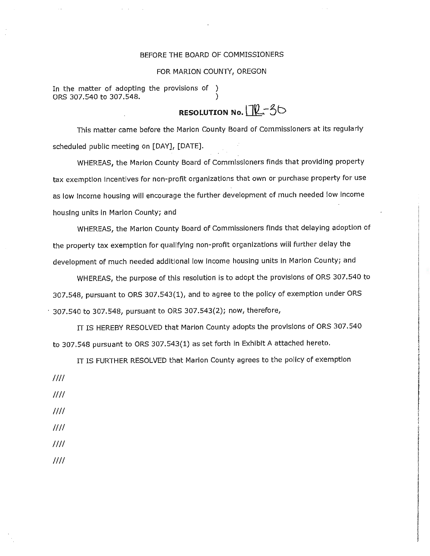### BEFORE THE BOARD OF COMMISSIONERS

### FOR MARION COUNTY, OREGON

In the matter of adopting the provisions of ) ORS 307.540 to 307.548. )

# **RESOLUTION No. IL-3**b

This matter came before the Marion County Board of Commissioners at Its regularly scheduled public meeting on [DAY], [DATE].

WHEREAS, the Marlon County Board of Commissioners finds that providing property tax exemption incentives for non-profit organizations that own or purchase property for use as low Income housing will encourage the further development of much needed low income housing units In Marlon County; and

WHEREAS, the Marlon County Board of Commissioners finds that delaying adoption of the property tax exemption for qualifying non-profit organizations will further delay the development of much needed additional low Income housing units In Marion County; and

WHEREAS, the purpose of this resolution is to adopt the provisions of ORS 307.540 to 307.548, pursuant to ORS 307.543(1), and to agree to the pollcy of exemption under ORS · 307.540 to 307.548, pursuant to ORS 307.543(2); now, therefore,

IT IS HEREBY RESOLVED that Marion County adopts the provisions of ORS 307.540 to 307.548 pursuant to ORS 307.543(1) as set forth In Exhibit A attached hereto.

IT IS FURTHER RESOLVED that Marion County agrees to the policy of exemption

- */Ill*
- *!Ill*
- */Ill*
- */Ill*
- *!Ill !Ill*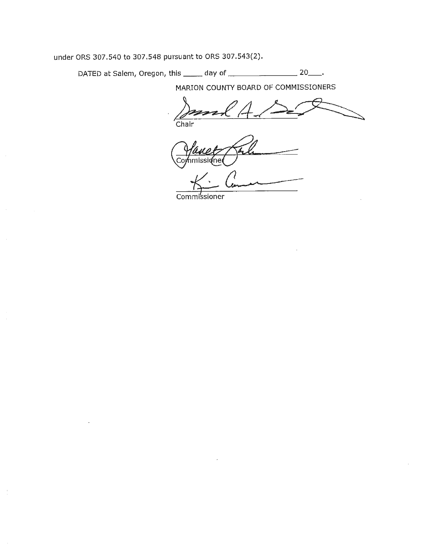under ORS 307.540 to 307.548 pursuant to ORS 307.543(2).

DATED at Salem, Oregon, this \_\_\_\_\_ day of \_\_\_\_\_\_\_\_\_\_\_\_\_\_\_\_\_\_\_\_\_ 20\_\_\_\_.

**MARION COUNTY BOARD** OF **COMMISSIONERS** 

'Chair

<u>Commissione</u>

Commissioner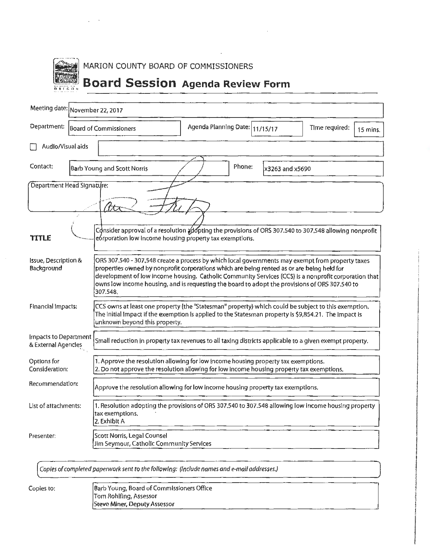|        | MARION COUNTY BOARD OF COMMISSIONERS |                                         |
|--------|--------------------------------------|-----------------------------------------|
| DRIGUN |                                      | <b>Board Session</b> Agenda Review Form |

 $\chi^2 \to \pi^0$ 

| Meeting date: November 22, 2017                     |                                                                                                                                                                                                                                                                                                                                                                                                                      |                                |                 |                            |  |
|-----------------------------------------------------|----------------------------------------------------------------------------------------------------------------------------------------------------------------------------------------------------------------------------------------------------------------------------------------------------------------------------------------------------------------------------------------------------------------------|--------------------------------|-----------------|----------------------------|--|
| Department:<br><b>Board of Commissioners</b>        |                                                                                                                                                                                                                                                                                                                                                                                                                      | Agenda Planning Date: 11/15/17 |                 | Time required:<br>15 mins. |  |
| Audlo/Visual aids                                   |                                                                                                                                                                                                                                                                                                                                                                                                                      |                                |                 |                            |  |
| Contact:                                            | <b>Barb Young and Scott Norris</b>                                                                                                                                                                                                                                                                                                                                                                                   | Phone:                         | x3263 and x5690 |                            |  |
| Department Head Signature:                          |                                                                                                                                                                                                                                                                                                                                                                                                                      |                                |                 |                            |  |
|                                                     | (faa<br>Consider approval of a resolution adopting the provisions of ORS 307.540 to 307.548 allowing nonprofit                                                                                                                                                                                                                                                                                                       |                                |                 |                            |  |
| TITLE                                               | eórporation low income housing property tax exemptions.                                                                                                                                                                                                                                                                                                                                                              |                                |                 |                            |  |
| <b>Issue, Description &amp;</b><br>Background       | ORS 307,540 - 307,548 create a process by which local governments may exempt from property taxes<br>properties owned by nonprofit corporations which are being rented as or are being held for<br>development of low income housing. Catholic Community Services (CCS) is a nonprofit corporation that<br>owns low income housing, and is requesting the board to adopt the provisions of ORS 307.540 to<br>307.548. |                                |                 |                            |  |
| <b>Financial Impacts:</b>                           | CCS owns at least one property (the "Statesman" property) which could be subject to this exemption.<br>The initial impact if the exemption is applied to the Statesman property is \$9,854.21. The impact is<br>unknown beyond this property.                                                                                                                                                                        |                                |                 |                            |  |
| <b>Impacts to Department</b><br>& External Agencies | Small reduction in property tax revenues to all taxing districts applicable to a given exempt property.                                                                                                                                                                                                                                                                                                              |                                |                 |                            |  |
| Options for<br>Consideration:                       | 1. Approve the resolution allowing for low income housing property tax exemptions.<br>2. Do not approve the resolution allowing for low income housing property tax exemptions.                                                                                                                                                                                                                                      |                                |                 |                            |  |
| Recommendation:                                     | Approve the resolution allowing for low income housing property tax exemptions.                                                                                                                                                                                                                                                                                                                                      |                                |                 |                            |  |
| List of attachments:                                | 1. Resolution adopting the provisions of ORS 307.540 to 307.548 allowing low income housing property<br>tax exemptions,<br>2. Exhibit A                                                                                                                                                                                                                                                                              |                                |                 |                            |  |
| Presenter:                                          | Scott Norris, Legal Counsel<br>Jim Seymour, Catholic Community Services                                                                                                                                                                                                                                                                                                                                              |                                |                 |                            |  |

 $\bar{\Delta}$ 

Copies of completed paperwork sent to the following: (Include names and e-mail addresses.)

Copies to: Barb Young, Board of Commissioners Office Tom Rohlfing, Assessor Steve Miner, Deputy Assessor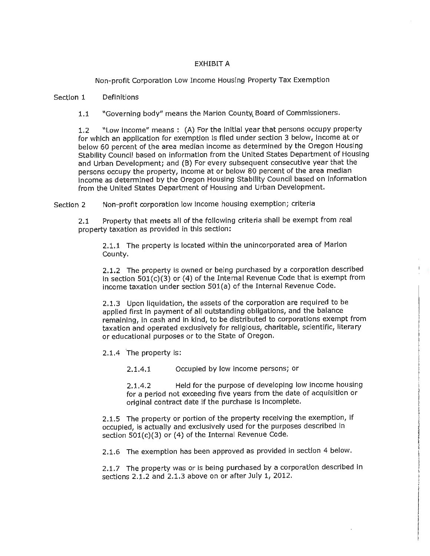### EXHIBIT A

Non-profit Corporation Low Income Housing Property Tax Exemption

#### Section 1 Definitions

1.1 "Governing body" means the Marion County Board of Commissioners.

1.2 "Low Income" means : (A) For the Initial year that persons occupy property for which an application for exemption Is flied under section 3 below, Income at or below 60 percent of the area median income as determined by the Oregon Housing Stability Council based on information from the United States Department of Housing and Urban Development; and (B) For every subsequent consecutive year that the persons occupy the property, income at or below 80 percent of the area median income as determined by the Oregon Housing Stability Council based on information from the United States Department of Housing and Urban Development.

Section 2 Non-profit corporation low Income housing exemption; criteria

2.1 Property that meets all of the following criteria shall be exempt from real property taxation as provided in this section:

2.1.1 The property is located within the unincorporated area of Marion County.

2.1.2 The property is owned or being purchased by a corporation described in section  $501(c)(3)$  or (4) of the Internal Revenue Code that is exempt from Income taxation under section 501(a) of the Internal Revenue Code.

2.1.3 Upon liquidation, the assets of the corporation are required to be applied first in payment of all outstanding obligations, and the balance remaining, In cash and in kind, to be distributed to corporations exempt from taxation and operated exclusively for religious, charitable, scientific, literary or educational purposes or to the State of Oregon.

2.1.4 The property is:

2.1.4.1 Occupied by low income persons; or

2.1.4.2 Held for the purpose of developing low income housing for a period not exceeding five years from the date of acquisition or original contract date if the purchase is incomplete.

2.1.5 The property or portion of the property receiving the exemption, If occupied, is actually and exclusively used for the purposes described in section 501(c)(3) or (4) of the Internal Revenue Code.

2.1.6 The exemption has been approved as provided in section 4 below.

2.1.7 The property was or is being purchased by a corporation described in sections 2.1.2 and 2.1.3 above on or after July 1, 2012.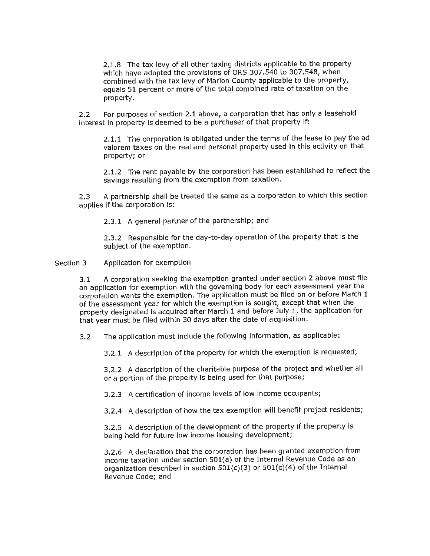2.1.8 The tax levy of all other taxing districts applicable to the property which have adopted the provisions of ORS 307 .540 to 307. 548, when combined with the tax levy of Marion County applicable to the property, equals 51 percent or more of the total combined rate of taxation on the property.

2.2 For purposes of section 2.1 above, a corporation that has only a leasehold interest in property is deemed to be a purchaser of that property if:

2.1.1 The corporation is obligated under the terms of the lease to pay the ad valorem taxes on the real and personal property used In this activity on that property; or

2.1.2 The rent payable by the corporation has been established to reflect the savings resulting from the exemption from taxation.

2.3 A partnership shall be treated the same as a corporation to which this section applies if the corporation is:

2.3,1 A general partner of the partnership; and

2.3.2 Responsible for the day-to-day operation of the property that is the subject of the exemption.

Section 3 Application for exemption

> 3.1 A corporation seeking the exemption granted under section 2 above must file an application for exemption with the governing body for each assessment year the corporation wants the exemption, The application must be filed on or before March 1 of the assessment year for which the exemption is sought, except that when the property designated Is acquired after March 1 and before July 1, the application for that year must be filed within 30 days after the date of acquisition.

3.2 The application must include the followlng information, as applicable:

3,2.1 A description of the property for which the exemption is requested;

3.2.2 A description of the charitable purpose of the project and whether all or a portion of the property is being used for that purpose;

3.2.3 A certification of income levels of low income occupants;

3.2.4 A description of how the tax exemption will benefit project residents;

3.2.5 A description of the development of the property if the property Is being held for future low income housing development;

3.2.6 A declaration that the corporation has been granted exemption from Income taxation under section 501(a) of the Internal Revenue Code as an organization described in section  $501(c)(3)$  or  $501(c)(4)$  of the Internal Revenue Code; and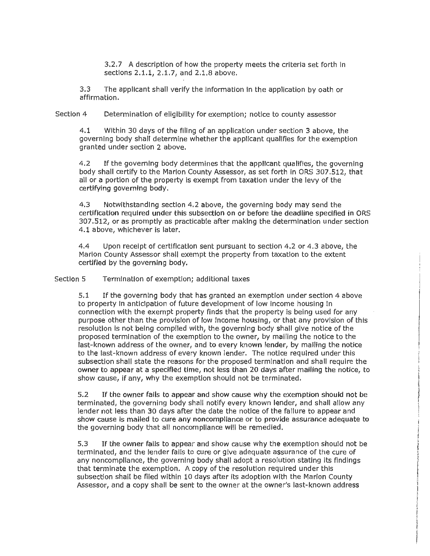3.2.7 A description of how the property meets the criteria set forth in sections 2.1.1, 2.1.7, and 2,1,8 above.

3.3 The applicant shall verify the information in the application by oath or affirmation.

Section 4 Determination of eligibility for exemption; notice to county assessor

4.1 Within 30 days of the filing of an application under section 3 above, the governing body shall determine whether the applicant qualifies for the exemption granted under section 2 above.

4.2 If the governing body determines that the applicant qualifies, the governing body shall certify to the Marlon County Assessor, as set forth in ORS 307.512, that all or a portion of the property is exempt from taxation under the levy of the certifying governing body.

4.3 Notwithstanding section 4.2 above, the governing body may send the certification required under this subsection on or before the deadline specified in ORS 307.512, or as promptly as practicable after making the determination under section 4.1 above, whichever is later.

4.4 Upon receipt of certification sent pursuant to section 4.2 or 4.3 above, the Marion County Assessor shall exempt the property from taxation to the extent certified by the governing body.

Section 5 Termination of exemption; additional taxes

5.1 If the governing body that has granted an exemption under section 4 above to property In anticipation of future development of low Income housing In connection with the exempt property finds that the property is being used for any purpose other than the provision of low income housing, or that any provision of this resolution is not being complied with, the governing body shall give notice of the proposed termination of the exemption to the owner, by mailing the notice to the last-known address of the owner, and to every known lender, by malling the notice to the last-known address of every known lender. The notice required under this subsection shall state the reasons for the proposed termination and shall require the owner to appear at a specified time, not less than 20 days after mailing the notice, to show cause, if any, why the exemption should not be terminated.

5.2 If the owner falls to appear and show cause why the exemption should not be terminated, the governing body shall notify every known lender, and shall allow any lender not less than 30 days after the date the notice of the failure to appear and show cause Is mailed to cure any noncompliance or to provide assurance adequate to the governing body that all noncompliance will be remedied.

5.3 If the owner fails to appear and show cause why the exemption should not be terminated, and the lender falls to cure or give adequate assurance of the cure of any noncompliance, the governing body shall adopt a resolution stating its findings that terminate the exemption. A copy of the resolution required under this subsection shall be filed within 10 days after Its adoption with the Marion County Assessor, and a copy shall be sent to the owner at the owner's last-known address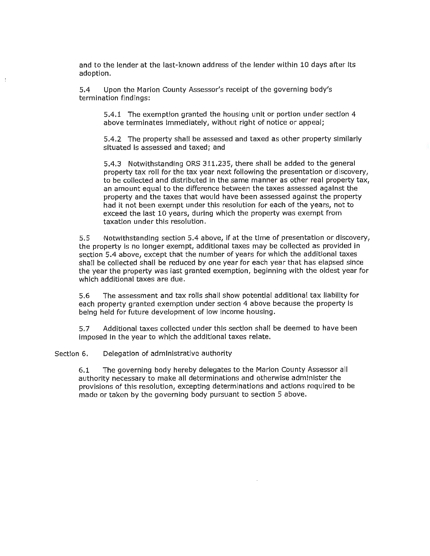and to the lender at the last-known address of the lender within 10 days after its adoption.

5.4 Upon the Marion County Assessor's receipt of the governing body's termination findings:

5.4.1 The exemption granted the housing unit or portion under section 4 above terminates immediately, without right of notice or appeal;

5.4.2 The property shall be assessed and taxed as other property similarly situated is assessed and taxed; and

5.4.3 Notwithstanding ORS 311.235, there shall be added to the general property tax roll for the tax year next following the presentation or discovery, to be collected and distributed in the same manner as other real property tax, an amount equal to the difference between the taxes assessed against the property and the taxes that would have been assessed against the property had it not been exempt under this resolution for each of the years, not to exceed the last 10 years, during which the property was exempt from taxation under this resolution.

5.5 Notwithstanding section 5.4 above, If at the time of presentation or discovery, the property is no longer exempt, additional taxes may be collected as provided in section 5.4 above, except that the number of years for which the additional taxes shall be collected shall be reduced by one year for each year that has elapsed since the year the property was last granted exemption, beginning with the oldest year for which additional taxes are due.

5.6 The assessment and tax rolls shall show potential additional tax llabllfty for each property granted exemption under section 4 above because the property Is being held for future development of low income housing.

5.7 Additional taxes collected under this section shall be deemed to have been imposed in the year to which the additional taxes relate.

Section 6. Delegation of administrative authority

6.1 The governing body hereby delegates to the Marlon County Assessor all authority necessary to make all determinations and otherwise administer the provisions of this resolution, excepting determinations and actions required to be made or taken by the governing body pursuant to section 5 above,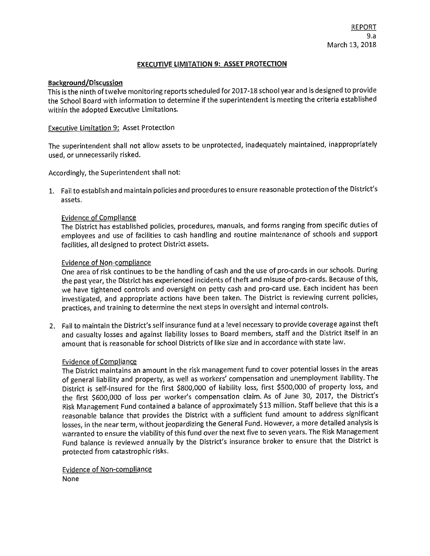### **EXECUTIVE LIMITATION 9: ASSET PROTECTION**

### **Background/Discussion**

This is the ninth of twelve monitoring reports scheduled for 2017-18 school year and is designed to provide the School Board with information to determine if the superintendent is meeting the criteria established within the adopted Executive Limitations.

### Executive Limitation 9: Asset Protection

The superintendent shall not allow assets to be unprotected, inadequately maintained, inappropriately used, or unnecessarily risked.

Accordingly, the Superintendent shall not:

1. Fail to establish and maintain policies and procedures to ensure reasonable protection of the District's assets.

### Evidence of Compliance

The District has established policies, procedures, manuals, and forms ranging from specific duties of employees and use of facilities to cash handling and routine maintenance of schools and support facilities, all designed to protect District assets.

### Evidence of Non-compliance

One area of risk continues to be the handling of cash and the use of pro-cards in our schools. During the past year, the District has experienced incidents of theft and misuse of pro-cards. Because of this, we have tightened controls and oversight on petty cash and pro-card use. Each incident has been investigated, and appropriate actions have been taken. The District is reviewing current policies, practices, and training to determine the next steps in oversight and internal controls.

2. Fail to maintain the District's self insurance fund at a level necessary to provide coverage against theft and casualty losses and against liability losses to Board members, staff and the District itself in an amount that is reasonable for school Districts of like size and in accordance with state law.

### Evidence of Compliance

The District maintains an amount in the risk management fund to cover potential losses in the areas of general liability and property, as well as workers' compensation and unemployment liability. The District is self-insured for the first \$800,000 of liability loss, first \$500,000 of property loss, and the first \$600,000 of loss per worker's compensation claim. As of June 30, 2017, the District's Risk Management Fund contained a balance of approximately \$13 million. Staff believe that this is a reasonable balance that provides the District with a sufficient fund amount to address significant losses, in the near term, without jeopardizing the General Fund. However, a more detailed analysis is warranted to ensure the viability of this fund over the next five to seven years. The Risk Management Fund balance is reviewed annually by the District's insurance broker to ensure that the District is protected from catastrophic risks.

Evidence of Non-compliance None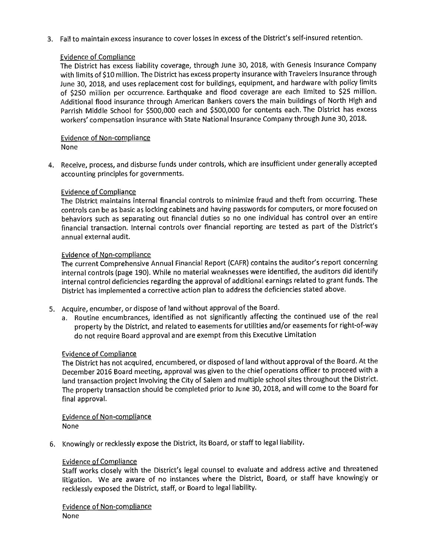3. Fail to maintain excess insurance to cover losses in excess of the District's self-insured retention.

### Evidence of Compliance

The District has excess liability coverage, through June 30, 2018, with Genesis Insurance Company with limits of \$10 million. The District has excess property insurance with Travelers Insurance through June 30, 2018, and uses replacement cost for buildings, equipment, and hardware with policy limits of \$250 million per occurrence. Earthquake and flood coverage are each limited to \$25 million. Additional flood insurance through American Bankers covers the main buildings of North High and Parrish Middle School for \$500,000 each and \$500,000 for contents each. The District has excess workers' compensation insurance with State National Insurance Company through June 30, 2018.

## Evidence of Non-compliance

None

4. Receive, process, and disburse funds under controls, which are insufficient under generally accepted accounting principles for governments.

### Evidence of Compliance

The District maintains internal financial controls to minimize fraud and theft from occurring. These controls can be as basic as locking cabinets and having passwords for computers, or more focused on behaviors such as separating out financial duties so no one individual has control over an entire financial transaction. Internal controls over financial reporting are tested as part of the District's annual external audit.

### Evidence of Non-compliance

The current Comprehensive Annual Financial Report (CAFR) contains the auditor's report concerning internal controls (page 190). While no material weaknesses were identified, the auditors did identify internal control deficiencies regarding the approval of additional earnings related to grant funds. The District has implemented a corrective action plan to address the deficiencies stated above.

- 5. Acquire, encumber, or dispose of land without approval of the Board.
	- a. Routine encumbrances, identified as not significantly affecting the continued use of the real property by the District, and related to easements for utilities and/or easements for right-of-way do not require Board approval and are exempt from this Executive Limitation

### Evidence of Compliance

The District has not acquired, encumbered, or disposed of land without approval of the Board. At the December 2016 Board meeting, approval was given to the chief operations officer to proceed with a land transaction project involving the City of Salem and multiple school sites throughout the District. The property transaction should be completed prior to June 30, 2018, and will come to the Board for final approval.

Evidence of Non-compliance None

6. Knowingly or recklessly expose the District, its Board, or staff to legal liability.

### Evidence of Compliance

Staff works closely with the District's legal counsel to evaluate and address active and threatened litigation. We are aware of no instances where the District, Board, or staff have knowingly or recklessly exposed the District, staff, or Board to legal liability,

Evidence of Non-compliance None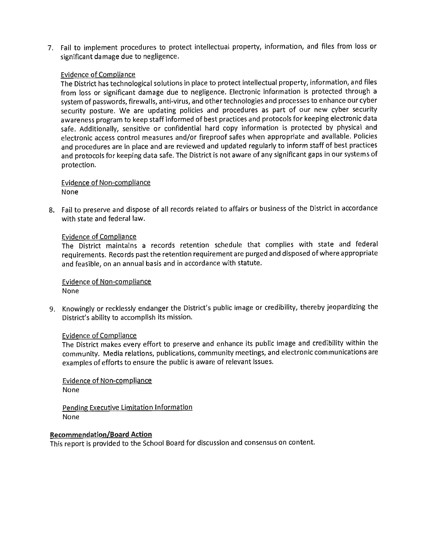7. Fail to implement procedures to protect intellectual property, information, and files from loss or significant damage due to negligence.

### Evidence of Compliance

The District has technological solutions in place to protect intellectual property, information, and files from loss or significant damage due to negligence. Electronic information is protected through a system of passwords, firewalls, anti-virus, and other technologies and processes to enhance our cyber security posture. We are updating policies and procedures as part of our new cyber security awareness program to keep staff informed of best practices and protocols for keeping electronic data safe. Additionally, sensitive or confidential hard copy information is protected by physical and electronic access control measures and/or fireproof safes when appropriate and available. Policies and procedures are in place and are reviewed and updated regularly to inform staff of best practices and protocols for keeping data safe. The District is not aware of any significant gaps in our systems of protection.

### Evidence of Non-compliance None

8. Fail to preserve and dispose of all records related to affairs or business of the District in accordance with state and federal law.

### Evidence of Compliance

The District maintains a records retention schedule that complies with state and federal requirements. Records past the retention requirement are purged and disposed of where appropriate and feasible, on an annual basis and in accordance with statute.

### Evidence of Non-compliance None

9. Knowingly or recklessly endanger the District's public image or credibility, thereby jeopardizing the District's ability to accomplish its mission.

### Evidence of Compliance

The District makes every effort to preserve and enhance its public image and credibility within the community. Media relations, publications, community meetings, and electronic communications are examples of efforts to ensure the public is aware of relevant issues.

Evidence of Non-compliance None

Pending Executive Limitation Information None

### **Recommendation/Board Action**

This report is provided to the School Board for discussion and consensus on content.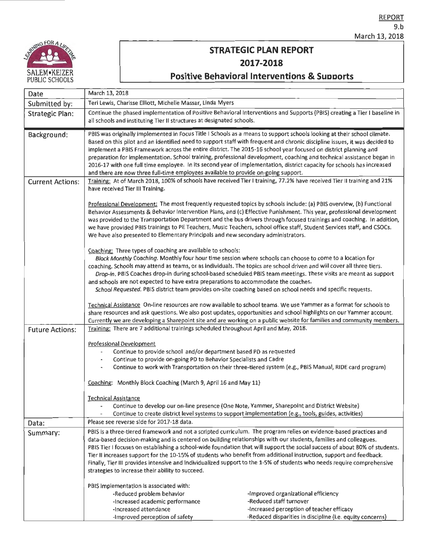

## **STRATEGIC PLAN REPORT 2017-2018**

## **Positive Behavioral Interventions & Suooorts**

| Date                    | March 13, 2018                                                                                                                                                                                                                                                                                                                                                                                                                                                                                                                                                                                                                                                                                                    |  |  |
|-------------------------|-------------------------------------------------------------------------------------------------------------------------------------------------------------------------------------------------------------------------------------------------------------------------------------------------------------------------------------------------------------------------------------------------------------------------------------------------------------------------------------------------------------------------------------------------------------------------------------------------------------------------------------------------------------------------------------------------------------------|--|--|
| Submitted by:           | Teri Lewis, Charisse Elliott, Michelle Massar, Linda Myers                                                                                                                                                                                                                                                                                                                                                                                                                                                                                                                                                                                                                                                        |  |  |
| <b>Strategic Plan:</b>  | Continue the phased implementation of Positive Behavioral Interventions and Supports (PBIS) creating a Tier I baseline in<br>all schools and instituting Tier II structures at designated schools.                                                                                                                                                                                                                                                                                                                                                                                                                                                                                                                |  |  |
| Background:             | PBIS was originally implemented in Focus Title I Schools as a means to support schools looking at their school climate.<br>Based on this pilot and an identified need to support staff with frequent and chronic discipline issues, it was decided to<br>implement a PBIS Framework across the entire district. The 2015-16 school year focused on district planning and<br>preparation for implementation. School training, professional development, coaching and technical assistance began in<br>2016-17 with one full time employee. In its second year of implementation, district capacity for schools has increased<br>and there are now three full-time employees available to provide on-going support. |  |  |
| <b>Current Actions:</b> | Training: At of March 2018, 100% of schools have received Tier I training, 77.2% have received Tier II training and 21%<br>have received Tier III Training.                                                                                                                                                                                                                                                                                                                                                                                                                                                                                                                                                       |  |  |
|                         | Professional Development: The most frequently requested topics by schools include: (a) PBIS overview, (b) Functional<br>Behavior Assessments & Behavior Intervention Plans, and (c) Effective Punishment. This year, professional development<br>was provided to the Transportation Department and the bus drivers through focused trainings and coaching. In addition,<br>we have provided PBIS trainings to PE Teachers, Music Teachers, school office staff, Student Services staff, and CSOCs.<br>We have also presented to Elementary Principals and new secondary administrators.                                                                                                                           |  |  |
|                         | Coaching: Three types of coaching are available to schools:<br>Block Monthly Coaching. Monthly four hour time session where schools can choose to come to a location for<br>coaching. Schools may attend as teams, or as individuals. The topics are school driven and will cover all three tiers.<br>Drop-in. PBIS Coaches drop-in during school-based scheduled PBIS team meetings. These visits are meant as support<br>and schools are not expected to have extra preparations to accommodate the coaches.<br>School Requested. PBIS district team provides on-site coaching based on school needs and specific requests.                                                                                     |  |  |
|                         | Technical Assistance On-line resources are now available to school teams. We use Yammer as a format for schools to<br>share resources and ask questions. We also post updates, opportunities and school highlights on our Yammer account.<br>Currently we are developing a Sharepoint site and are working on a public website for families and community members.                                                                                                                                                                                                                                                                                                                                                |  |  |
| <b>Future Actions:</b>  | Training: There are 7 additional trainings scheduled throughout April and May, 2018.                                                                                                                                                                                                                                                                                                                                                                                                                                                                                                                                                                                                                              |  |  |
|                         | Professional Development<br>Continue to provide school and/or department based PD as requested<br>Continue to provide on-going PD to Behavior Specialists and Cadre<br>Continue to work with Transportation on their three-tiered system (e.g., PBIS Manual, RIDE card program)                                                                                                                                                                                                                                                                                                                                                                                                                                   |  |  |
|                         | Coaching: Monthly Block Coaching (March 9, April 16 and May 11)                                                                                                                                                                                                                                                                                                                                                                                                                                                                                                                                                                                                                                                   |  |  |
|                         | <b>Technical Assistance</b><br>Continue to develop our on-line presence (One Note, Yammer, Sharepoint and District Website)<br>Continue to create district level systems to support implementation (e.g., tools, guides, activities)                                                                                                                                                                                                                                                                                                                                                                                                                                                                              |  |  |
| Data:                   | Please see reverse side for 2017-18 data.                                                                                                                                                                                                                                                                                                                                                                                                                                                                                                                                                                                                                                                                         |  |  |
| Summary:                | PBIS is a three-tiered framework and not a scripted curriculum. The program relies on evidence-based practices and<br>data-based decision-making and is centered on building relationships with our students, families and colleagues.<br>PBIS Tier I focuses on establishing a school-wide foundation that will support the social success of about 80% of students.<br>Tier II increases support for the 10-15% of students who benefit from additional instruction, support and feedback.<br>Finally, Tier III provides intensive and individualized support to the 1-5% of students who needs require comprehensive<br>strategies to increase their ability to succeed.                                       |  |  |
|                         | PBIS implementation is associated with:<br>-Improved organizational efficiency<br>-Reduced problem behavior<br>-Reduced staff turnover<br>-Increased academic performance<br>-Increased perception of teacher efficacy<br>-Increased attendance<br>-Reduced disparities in discipline (i.e. equity concerns)<br>-improved perception of safety                                                                                                                                                                                                                                                                                                                                                                    |  |  |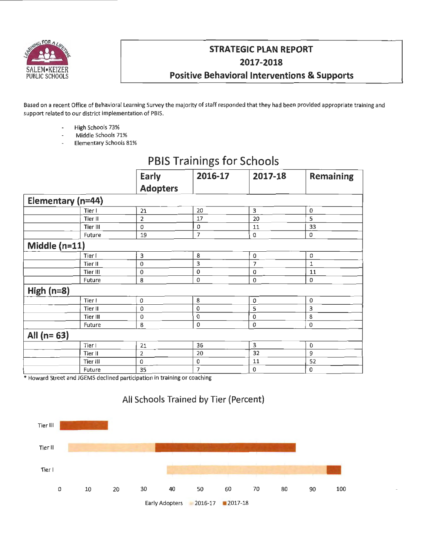

## **STRATEGIC PLAN REPORT 2017-2018 Positive Behavioral Interventions & Supports**

Based on a recent Office of Behavioral Learning Survey the majority of staff responded that they had been provided appropriate training and support related to our district implementation of PBIS.

- High Schools 73%  $\overline{a}$
- Middle Schools 71%
- Elementary Schools 81%

|                   |          | Early           | 2016-17            | 2017-18        | <b>Remaining</b> |
|-------------------|----------|-----------------|--------------------|----------------|------------------|
|                   |          | <b>Adopters</b> |                    |                |                  |
| Elementary (n=44) |          |                 |                    |                |                  |
|                   | Tier I   | 21              | 20                 | 3              | 0                |
|                   | Tier II  | 2               | 17                 | 20             | 5                |
|                   | Tier III | 0               | 0                  | 11             | 33               |
|                   | Future   | 19              | 7                  | 0              | 0                |
| Middle $(n=11)$   |          |                 |                    |                |                  |
|                   | Tier I   | 3               | 8                  | $\mathbf 0$    | 0                |
|                   | Tier II  | $\bf{0}$        | 3                  | $\overline{7}$ | $\mathbf{1}$     |
|                   | Tier III | 0               | 0                  | $\mathbf 0$    | 11               |
|                   | Future   | 8               | 0                  | $\bf{0}$       | 0                |
| High $(n=8)$      |          |                 |                    |                |                  |
|                   | Tier I   | 0               | 8                  | 0              | 0                |
|                   | Tier II  | 0               | $\mathbf 0$        | 5              | 3                |
|                   | Tier III | $\Omega$        | $\pmb{\mathsf{0}}$ | 0              | 8                |
|                   | Future   | 8               | 0                  | 0              | 0                |
| All $(n=63)$      |          |                 |                    |                |                  |
|                   | Tier I   | 21              | 36                 | 3              | 0                |
|                   | Tier II  | 2               | 20                 | 32             | 9                |
|                   | Tier III | 0               | 0                  | 11             | 52               |
|                   | Future   | 35              | 7                  | 0              | 0                |
|                   |          |                 |                    |                |                  |

# **PBIS Trainings for Schools**

\* Howard Street and JGEMS declined participation in training or coaching



## **All Schools Trained by Tier (Percent)**